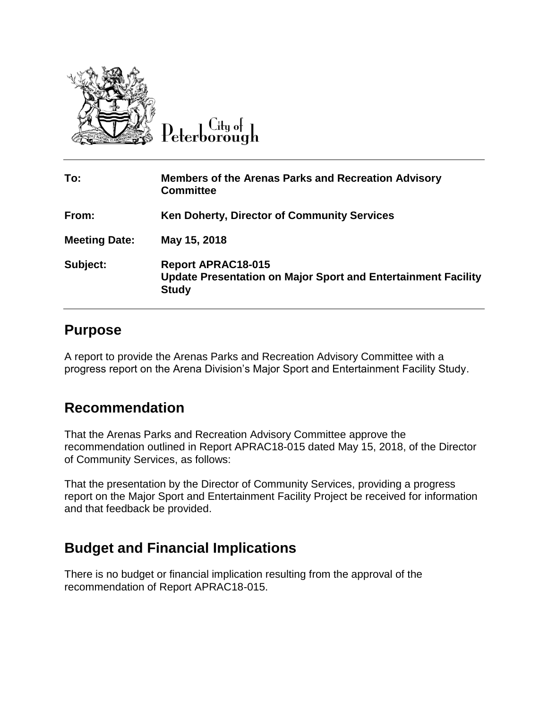

 $Cl$ ty o $\vdash$ 

| To:                  | <b>Members of the Arenas Parks and Recreation Advisory</b><br><b>Committee</b>                             |
|----------------------|------------------------------------------------------------------------------------------------------------|
| From:                | <b>Ken Doherty, Director of Community Services</b>                                                         |
| <b>Meeting Date:</b> | May 15, 2018                                                                                               |
| Subject:             | <b>Report APRAC18-015</b><br>Update Presentation on Major Sport and Entertainment Facility<br><b>Study</b> |

## **Purpose**

A report to provide the Arenas Parks and Recreation Advisory Committee with a progress report on the Arena Division's Major Sport and Entertainment Facility Study.

## **Recommendation**

That the Arenas Parks and Recreation Advisory Committee approve the recommendation outlined in Report APRAC18-015 dated May 15, 2018, of the Director of Community Services, as follows:

That the presentation by the Director of Community Services, providing a progress report on the Major Sport and Entertainment Facility Project be received for information and that feedback be provided.

## **Budget and Financial Implications**

There is no budget or financial implication resulting from the approval of the recommendation of Report APRAC18-015.